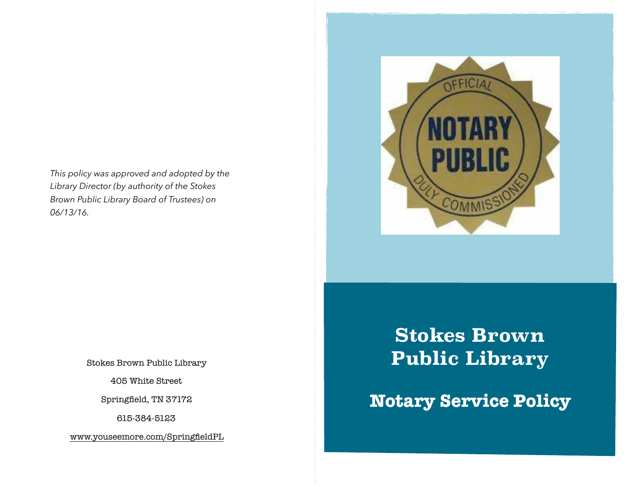*This policy was approved and adopted by the Library Director (by authority of the Stokes Brown Public Library Board of Trustees) on 06/13/16.* 



Stokes Brown Public Library

405 White Street

Springfield, TN 37172

615-384-5123

[www.youseemore.com/SpringfieldPL](http://www.youseemore.com/SpringfieldPL)

**Stokes Brown Public Library** 

## **Notary Service Policy**